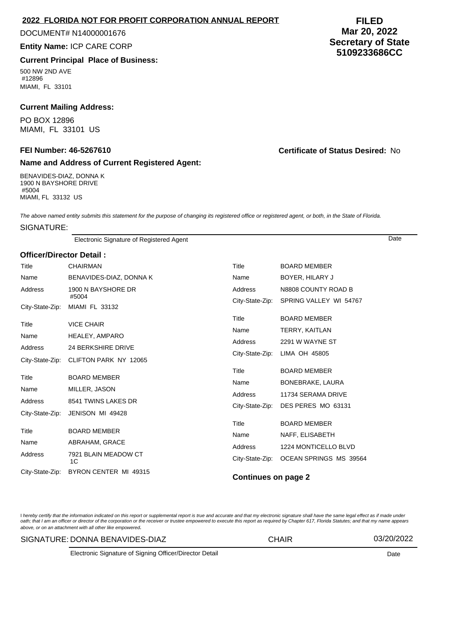## **2022 FLORIDA NOT FOR PROFIT CORPORATION ANNUAL REPORT**

#### DOCUMENT# N14000001676

**Entity Name:** ICP CARE CORP

# **Current Principal Place of Business:**

500 NW 2ND AVE #12896 MIAMI, FL 33101

# **Current Mailing Address:**

PO BOX 12896 MIAMI, FL 33101 US

## **Name and Address of Current Registered Agent:**

BENAVIDES-DIAZ, DONNA K 1900 N BAYSHORE DRIVE #5004 MIAMI, FL 33132 US

**FILED Mar 20, 2022 Secretary of State 5109233686CC**

**FEI Number: 46-5267610 Certificate of Status Desired:** No

The above named entity submits this statement for the purpose of changing its registered office or registered agent, or both, in the State of Florida.

# SIGNATURE:

Electronic Signature of Registered Agent Date

# **Officer/Director Detail :**

| Title           | <b>CHAIRMAN</b>                            | Title                                       | <b>BOARD MEMBER</b>                           |  |
|-----------------|--------------------------------------------|---------------------------------------------|-----------------------------------------------|--|
| Name            | BENAVIDES-DIAZ, DONNA K                    | Name                                        | BOYER, HILARY J                               |  |
| Address         | 1900 N BAYSHORE DR<br>#5004                | Address<br>City-State-Zip:                  | N8808 COUNTY ROAD B<br>SPRING VALLEY WI 54767 |  |
| City-State-Zip: | MIAMI FL 33132                             |                                             |                                               |  |
| Title<br>Name   | <b>VICE CHAIR</b><br><b>HEALEY, AMPARO</b> | Title<br>Name<br>Address<br>City-State-Zip: | <b>BOARD MEMBER</b><br>TERRY, KAITLAN         |  |
| Address         | <b>24 BERKSHIRE DRIVE</b>                  |                                             | 2291 W WAYNE ST                               |  |
|                 | City-State-Zip: CLIFTON PARK NY 12065      |                                             | LIMA OH 45805                                 |  |
| Title           | <b>BOARD MEMBER</b>                        | Title                                       | <b>BOARD MEMBER</b>                           |  |
| Name            | MILLER, JASON                              | Name                                        | BONEBRAKE, LAURA                              |  |
| Address         | 8541 TWINS LAKES DR                        | Address<br>City-State-Zip:                  | 11734 SERAMA DRIVE                            |  |
| City-State-Zip: | JENISON MI 49428                           |                                             | DES PERES MO 63131                            |  |
|                 |                                            | Title                                       | <b>BOARD MEMBER</b>                           |  |
| Title           | <b>BOARD MEMBER</b>                        | Name                                        | NAFF, ELISABETH                               |  |
| Name            | ABRAHAM, GRACE                             | Address                                     | 1224 MONTICELLO BLVD                          |  |
| Address         | 7921 BLAIN MEADOW CT<br>1C                 | City-State-Zip:                             | OCEAN SPRINGS MS 39564                        |  |
| City-State-Zip: | BYRON CENTER MI 49315                      | <b>Continues on page 2</b>                  |                                               |  |

I hereby certify that the information indicated on this report or supplemental report is true and accurate and that my electronic signature shall have the same legal effect as if made under oath; that I am an officer or director of the corporation or the receiver or trustee empowered to execute this report as required by Chapter 617, Florida Statutes; and that my name appears above, or on an attachment with all other like empowered.

#### SIGNATURE: DONNA BENAVIDES-DIAZ CHAIR 03/20/2022

Electronic Signature of Signing Officer/Director Detail Date